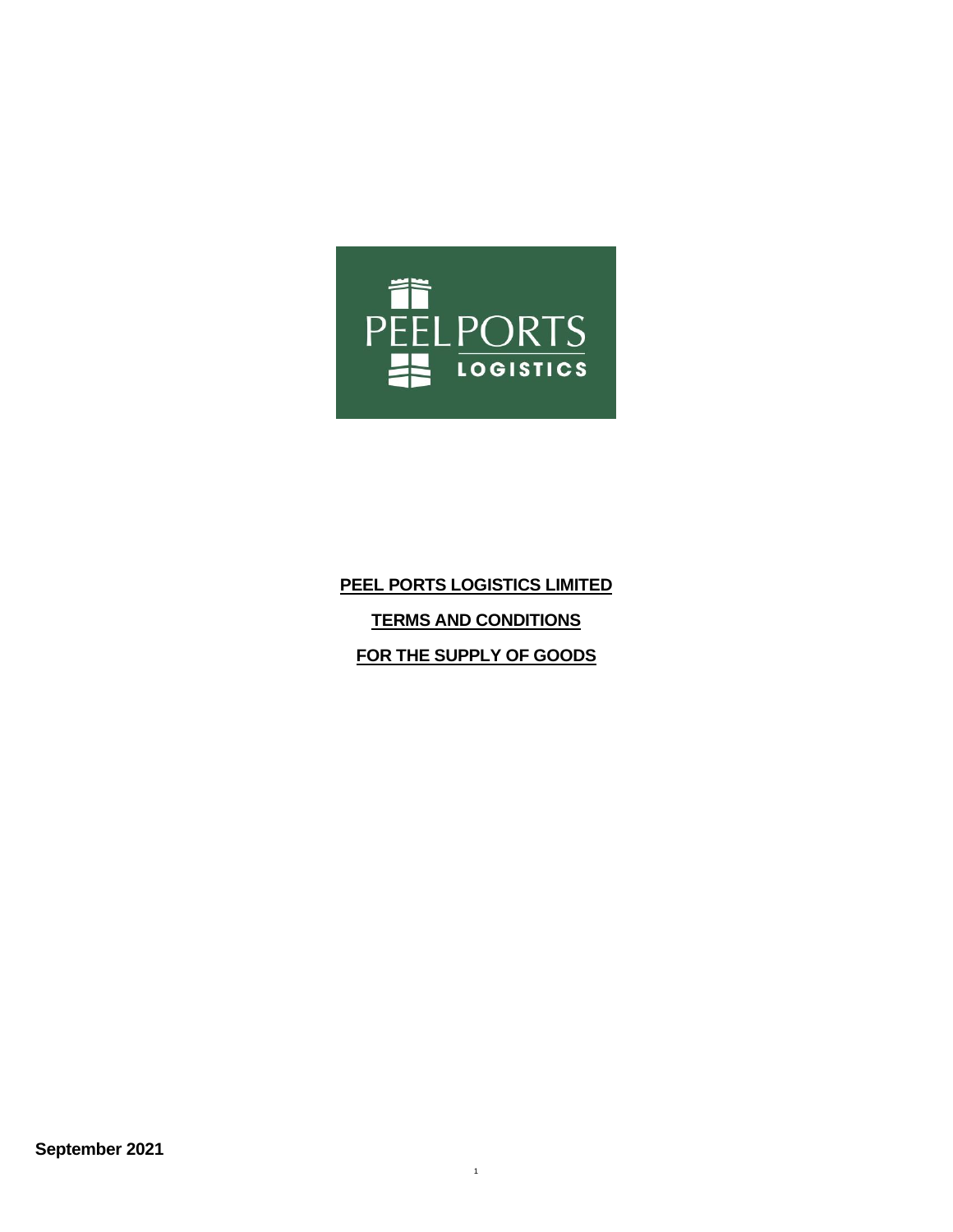

# **PEEL PORTS LOGISTICS LIMITED TERMS AND CONDITIONS FOR THE SUPPLY OF GOODS**

1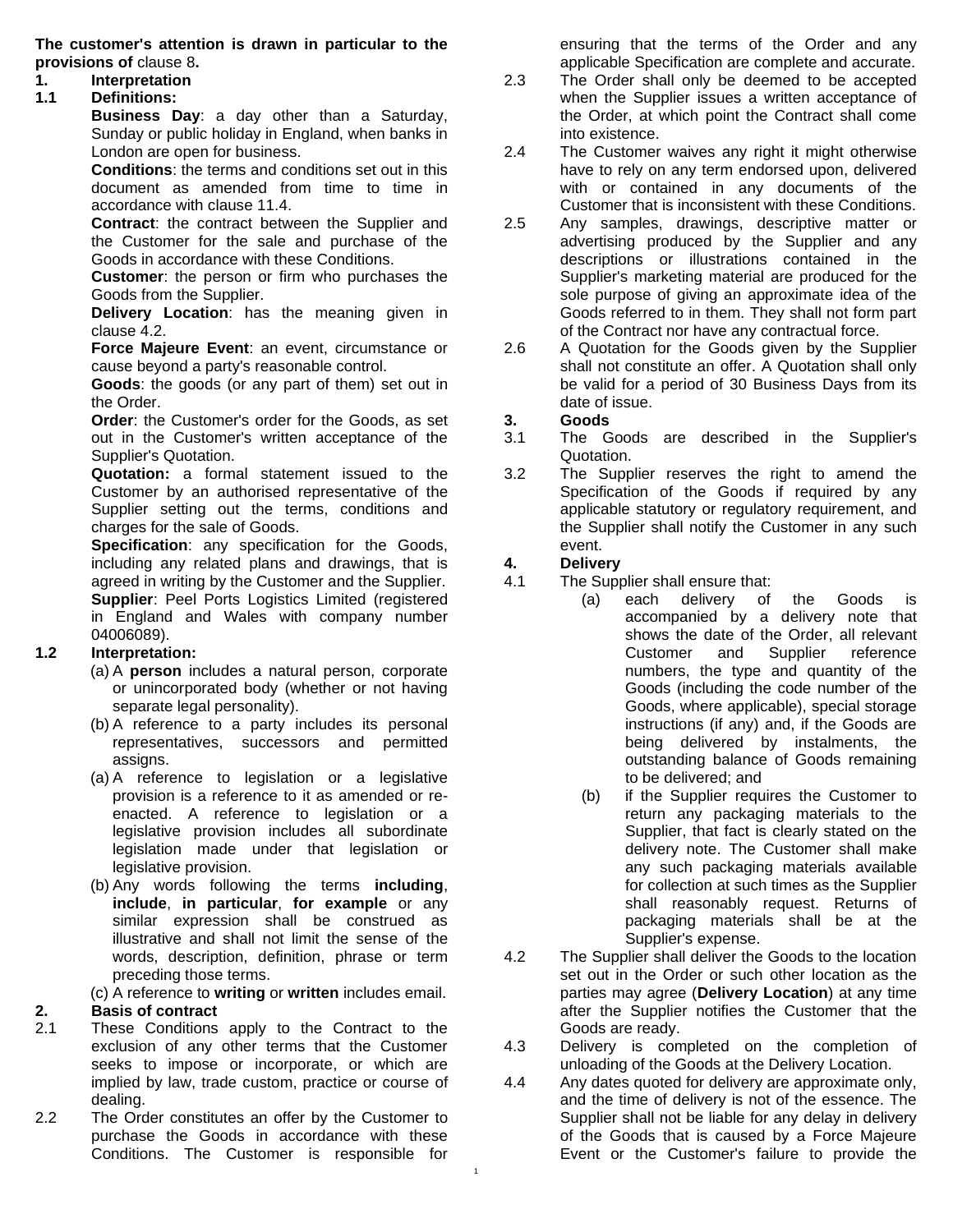**The customer's attention is drawn in particular to the provisions of** [clause 8](#page-3-0)**.**

#### **1. Interpretation**

**1.1 Definitions:** 

**Business Day**: a day other than a Saturday, Sunday or public holiday in England, when banks in London are open for business.

**Conditions**: the terms and conditions set out in this document as amended from time to time in accordance with [clause 11.4.](#page-5-0)

**Contract**: the contract between the Supplier and the Customer for the sale and purchase of the Goods in accordance with these Conditions.

**Customer**: the person or firm who purchases the Goods from the Supplier.

**Delivery Location**: has the meaning given in [clause 4.2.](#page-1-0)

**Force Majeure Event**: an event, circumstance or cause beyond a party's reasonable control.

**Goods**: the goods (or any part of them) set out in the Order.

**Order**: the Customer's order for the Goods, as set out in the Customer's written acceptance of the Supplier's Quotation.

**Quotation:** a formal statement issued to the Customer by an authorised representative of the Supplier setting out the terms, conditions and charges for the sale of Goods.

**Specification**: any specification for the Goods, including any related plans and drawings, that is agreed in writing by the Customer and the Supplier. **Supplier**: Peel Ports Logistics Limited (registered in England and Wales with company number 04006089).

#### **1.2 Interpretation:**

- (a) A **person** includes a natural person, corporate or unincorporated body (whether or not having separate legal personality).
- (b) A reference to a party includes its personal representatives, successors and permitted assigns.
- (a) A reference to legislation or a legislative provision is a reference to it as amended or reenacted. A reference to legislation or a legislative provision includes all subordinate legislation made under that legislation or legislative provision.
- (b) Any words following the terms **including**, **include**, **in particular**, **for example** or any similar expression shall be construed as illustrative and shall not limit the sense of the words, description, definition, phrase or term preceding those terms.

(c) A reference to **writing** or **written** includes email.

#### **2. Basis of contract**

- 2.1 These Conditions apply to the Contract to the exclusion of any other terms that the Customer seeks to impose or incorporate, or which are implied by law, trade custom, practice or course of dealing.
- 2.2 The Order constitutes an offer by the Customer to purchase the Goods in accordance with these Conditions. The Customer is responsible for

ensuring that the terms of the Order and any applicable Specification are complete and accurate.

- 2.3 The Order shall only be deemed to be accepted when the Supplier issues a written acceptance of the Order, at which point the Contract shall come into existence.
- 2.4 The Customer waives any right it might otherwise have to rely on any term endorsed upon, delivered with or contained in any documents of the Customer that is inconsistent with these Conditions.
- 2.5 Any samples, drawings, descriptive matter or advertising produced by the Supplier and any descriptions or illustrations contained in the Supplier's marketing material are produced for the sole purpose of giving an approximate idea of the Goods referred to in them. They shall not form part of the Contract nor have any contractual force.
- 2.6 A Quotation for the Goods given by the Supplier shall not constitute an offer. A Quotation shall only be valid for a period of 30 Business Days from its date of issue.

#### **3. Goods**

- 3.1 The Goods are described in the Supplier's Quotation.
- 3.2 The Supplier reserves the right to amend the Specification of the Goods if required by any applicable statutory or regulatory requirement, and the Supplier shall notify the Customer in any such event.

#### **4. Delivery**

- 4.1 The Supplier shall ensure that:
	- (a) each delivery of the Goods is accompanied by a delivery note that shows the date of the Order, all relevant Customer and Supplier reference numbers, the type and quantity of the Goods (including the code number of the Goods, where applicable), special storage instructions (if any) and, if the Goods are being delivered by instalments, the outstanding balance of Goods remaining to be delivered; and
	- (b) if the Supplier requires the Customer to return any packaging materials to the Supplier, that fact is clearly stated on the delivery note. The Customer shall make any such packaging materials available for collection at such times as the Supplier shall reasonably request. Returns of packaging materials shall be at the Supplier's expense.
- <span id="page-1-0"></span>4.2 The Supplier shall deliver the Goods to the location set out in the Order or such other location as the parties may agree (**Delivery Location**) at any time after the Supplier notifies the Customer that the Goods are ready.
- 4.3 Delivery is completed on the completion of unloading of the Goods at the Delivery Location.
- 4.4 Any dates quoted for delivery are approximate only, and the time of delivery is not of the essence. The Supplier shall not be liable for any delay in delivery of the Goods that is caused by a Force Majeure Event or the Customer's failure to provide the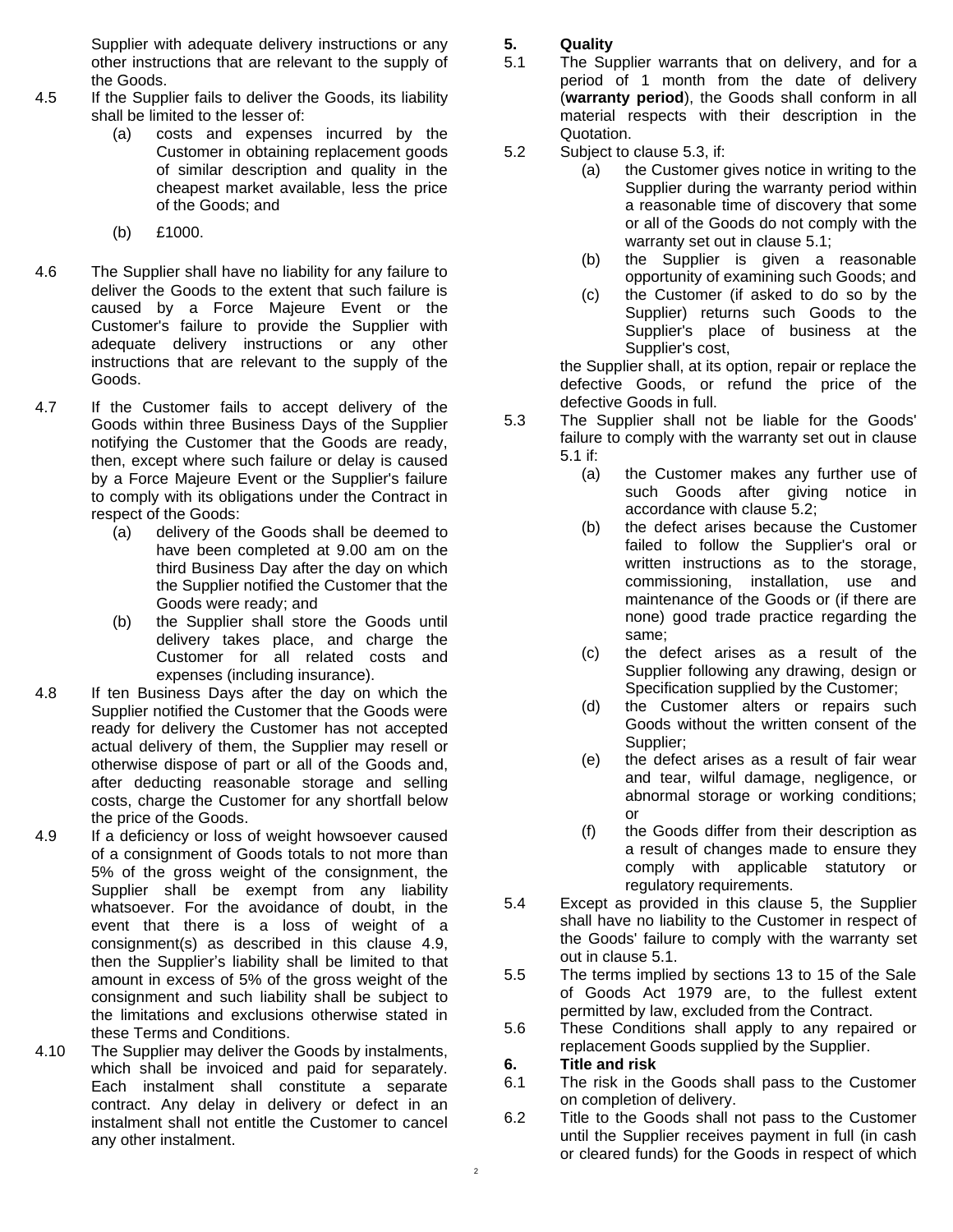Supplier with adequate delivery instructions or any other instructions that are relevant to the supply of the Goods.

- 4.5 If the Supplier fails to deliver the Goods, its liability shall be limited to the lesser of:
	- (a) costs and expenses incurred by the Customer in obtaining replacement goods of similar description and quality in the cheapest market available, less the price of the Goods; and
	- (b) £1000.
- 4.6 The Supplier shall have no liability for any failure to deliver the Goods to the extent that such failure is caused by a Force Majeure Event or the Customer's failure to provide the Supplier with adequate delivery instructions or any other instructions that are relevant to the supply of the Goods.
- 4.7 If the Customer fails to accept delivery of the Goods within three Business Days of the Supplier notifying the Customer that the Goods are ready, then, except where such failure or delay is caused by a Force Majeure Event or the Supplier's failure to comply with its obligations under the Contract in respect of the Goods:
	- (a) delivery of the Goods shall be deemed to have been completed at 9.00 am on the third Business Day after the day on which the Supplier notified the Customer that the Goods were ready; and
	- (b) the Supplier shall store the Goods until delivery takes place, and charge the Customer for all related costs and expenses (including insurance).
- 4.8 If ten Business Days after the day on which the Supplier notified the Customer that the Goods were ready for delivery the Customer has not accepted actual delivery of them, the Supplier may resell or otherwise dispose of part or all of the Goods and, after deducting reasonable storage and selling costs, charge the Customer for any shortfall below the price of the Goods.
- <span id="page-2-0"></span>4.9 If a deficiency or loss of weight howsoever caused of a consignment of Goods totals to not more than 5% of the gross weight of the consignment, the Supplier shall be exempt from any liability whatsoever. For the avoidance of doubt, in the event that there is a loss of weight of a consignment(s) as described in this clause [4.9,](#page-2-0) then the Supplier's liability shall be limited to that amount in excess of 5% of the gross weight of the consignment and such liability shall be subject to the limitations and exclusions otherwise stated in these Terms and Conditions.
- 4.10 The Supplier may deliver the Goods by instalments, which shall be invoiced and paid for separately. Each instalment shall constitute a separate contract. Any delay in delivery or defect in an instalment shall not entitle the Customer to cancel any other instalment.

# <span id="page-2-4"></span>**5. Quality**

- <span id="page-2-2"></span>5.1 The Supplier warrants that on delivery, and for a period of 1 month from the date of delivery (**warranty period**), the Goods shall conform in all material respects with their description in the Quotation.
- <span id="page-2-3"></span>5.2 Subject to [clause 5.3,](#page-2-1) if:
	- (a) the Customer gives notice in writing to the Supplier during the warranty period within a reasonable time of discovery that some or all of the Goods do not comply with the warranty set out in [clause 5.1;](#page-2-2)
	- (b) the Supplier is given a reasonable opportunity of examining such Goods; and
	- (c) the Customer (if asked to do so by the Supplier) returns such Goods to the Supplier's place of business at the Supplier's cost,

the Supplier shall, at its option, repair or replace the defective Goods, or refund the price of the defective Goods in full.

- <span id="page-2-1"></span>5.3 The Supplier shall not be liable for the Goods' failure to comply with the warranty set out in [clause](#page-2-2)  [5.1](#page-2-2) if:
	- (a) the Customer makes any further use of such Goods after giving notice in accordance with [clause 5.2;](#page-2-3)
	- (b) the defect arises because the Customer failed to follow the Supplier's oral or written instructions as to the storage, commissioning, installation, use and maintenance of the Goods or (if there are none) good trade practice regarding the same;
	- (c) the defect arises as a result of the Supplier following any drawing, design or Specification supplied by the Customer;
	- (d) the Customer alters or repairs such Goods without the written consent of the Supplier;
	- (e) the defect arises as a result of fair wear and tear, wilful damage, negligence, or abnormal storage or working conditions; or
	- (f) the Goods differ from their description as a result of changes made to ensure they comply with applicable statutory or regulatory requirements.
- 5.4 Except as provided in this [clause 5,](#page-2-4) the Supplier shall have no liability to the Customer in respect of the Goods' failure to comply with the warranty set out in [clause 5.1.](#page-2-2)
- 5.5 The terms implied by sections 13 to 15 of the Sale of Goods Act 1979 are, to the fullest extent permitted by law, excluded from the Contract.
- 5.6 These Conditions shall apply to any repaired or replacement Goods supplied by the Supplier.

# **6. Title and risk**

- 6.1 The risk in the Goods shall pass to the Customer on completion of delivery.
- 6.2 Title to the Goods shall not pass to the Customer until the Supplier receives payment in full (in cash or cleared funds) for the Goods in respect of which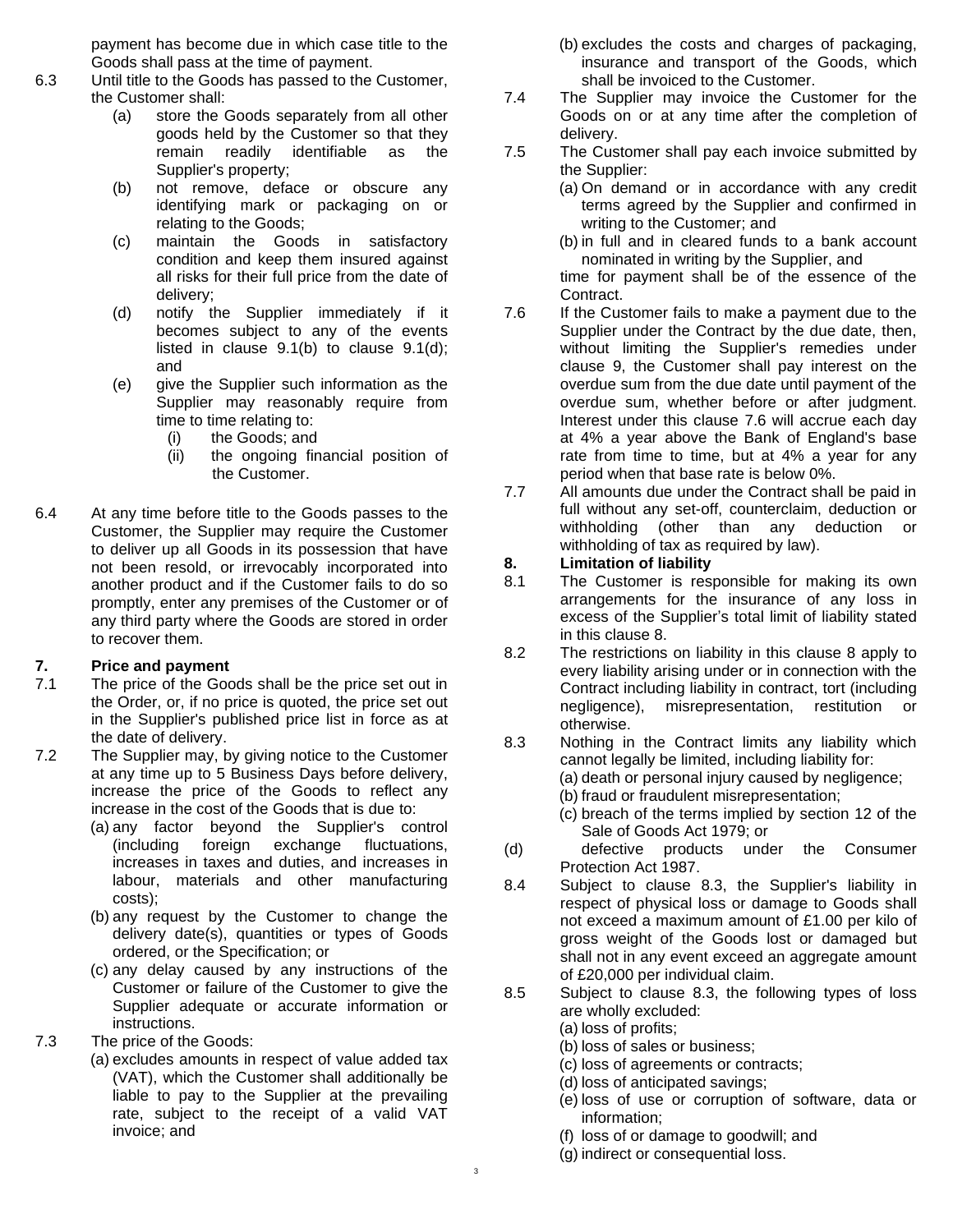payment has become due in which case title to the Goods shall pass at the time of payment.

- 6.3 Until title to the Goods has passed to the Customer, the Customer shall:
	- (a) store the Goods separately from all other goods held by the Customer so that they remain readily identifiable as the Supplier's property;
	- (b) not remove, deface or obscure any identifying mark or packaging on or relating to the Goods;
	- (c) maintain the Goods in satisfactory condition and keep them insured against all risks for their full price from the date of delivery;
	- (d) notify the Supplier immediately if it becomes subject to any of the events listed in [clause 9.1\(b\)](#page-4-0) to [clause 9.1\(d\);](#page-4-1) and
	- (e) give the Supplier such information as the Supplier may reasonably require from time to time relating to:
		- (i) the Goods; and
		- (ii) the ongoing financial position of the Customer.
- 6.4 At any time before title to the Goods passes to the Customer, the Supplier may require the Customer to deliver up all Goods in its possession that have not been resold, or irrevocably incorporated into another product and if the Customer fails to do so promptly, enter any premises of the Customer or of any third party where the Goods are stored in order to recover them.

#### **7. Price and payment**

- 7.1 The price of the Goods shall be the price set out in the Order, or, if no price is quoted, the price set out in the Supplier's published price list in force as at the date of delivery.
- 7.2 The Supplier may, by giving notice to the Customer at any time up to 5 Business Days before delivery, increase the price of the Goods to reflect any increase in the cost of the Goods that is due to:
	- (a) any factor beyond the Supplier's control (including foreign exchange fluctuations, increases in taxes and duties, and increases in labour, materials and other manufacturing costs);
	- (b) any request by the Customer to change the delivery date(s), quantities or types of Goods ordered, or the Specification; or
	- (c) any delay caused by any instructions of the Customer or failure of the Customer to give the Supplier adequate or accurate information or instructions.
- 7.3 The price of the Goods:
	- (a) excludes amounts in respect of value added tax (VAT), which the Customer shall additionally be liable to pay to the Supplier at the prevailing rate, subject to the receipt of a valid VAT invoice; and
- (b) excludes the costs and charges of packaging, insurance and transport of the Goods, which shall be invoiced to the Customer.
- 7.4 The Supplier may invoice the Customer for the Goods on or at any time after the completion of delivery.
- 7.5 The Customer shall pay each invoice submitted by the Supplier:
	- (a) On demand or in accordance with any credit terms agreed by the Supplier and confirmed in writing to the Customer; and
	- (b) in full and in cleared funds to a bank account nominated in writing by the Supplier, and

time for payment shall be of the essence of the Contract.

- <span id="page-3-1"></span>7.6 If the Customer fails to make a payment due to the Supplier under the Contract by the due date, then, without limiting the Supplier's remedies under [clause 9,](#page-4-2) the Customer shall pay interest on the overdue sum from the due date until payment of the overdue sum, whether before or after judgment. Interest under this [clause 7.6](#page-3-1) will accrue each day at 4% a year above the Bank of England's base rate from time to time, but at 4% a year for any period when that base rate is below 0%.
- 7.7 All amounts due under the Contract shall be paid in full without any set-off, counterclaim, deduction or withholding (other than any deduction or withholding of tax as required by law).

#### <span id="page-3-0"></span>**8. Limitation of liability**

- 8.1 The Customer is responsible for making its own arrangements for the insurance of any loss in excess of the Supplier's total limit of liability stated in this clause 8.
- 8.2 The restrictions on liability in this [clause 8](#page-3-0) apply to every liability arising under or in connection with the Contract including liability in contract, tort (including negligence), misrepresentation, restitution otherwise.
- <span id="page-3-2"></span>8.3 Nothing in the Contract limits any liability which cannot legally be limited, including liability for:
	- (a) death or personal injury caused by negligence;
		- (b) fraud or fraudulent misrepresentation;
	- (c) breach of the terms implied by section 12 of the Sale of Goods Act 1979; or
- (d) defective products under the Consumer Protection Act 1987.
- 8.4 Subject to [clause 8.3,](#page-3-2) the Supplier's liability in respect of physical loss or damage to Goods shall not exceed a maximum amount of £1.00 per kilo of gross weight of the Goods lost or damaged but shall not in any event exceed an aggregate amount of £20,000 per individual claim.
- 8.5 Subject to [clause 8.3,](#page-3-2) the following types of loss are wholly excluded:
	- (a) loss of profits;
	- (b) loss of sales or business;
	- (c) loss of agreements or contracts;
	- (d) loss of anticipated savings;
	- (e) loss of use or corruption of software, data or information;
	- (f) loss of or damage to goodwill; and
	- (g) indirect or consequential loss.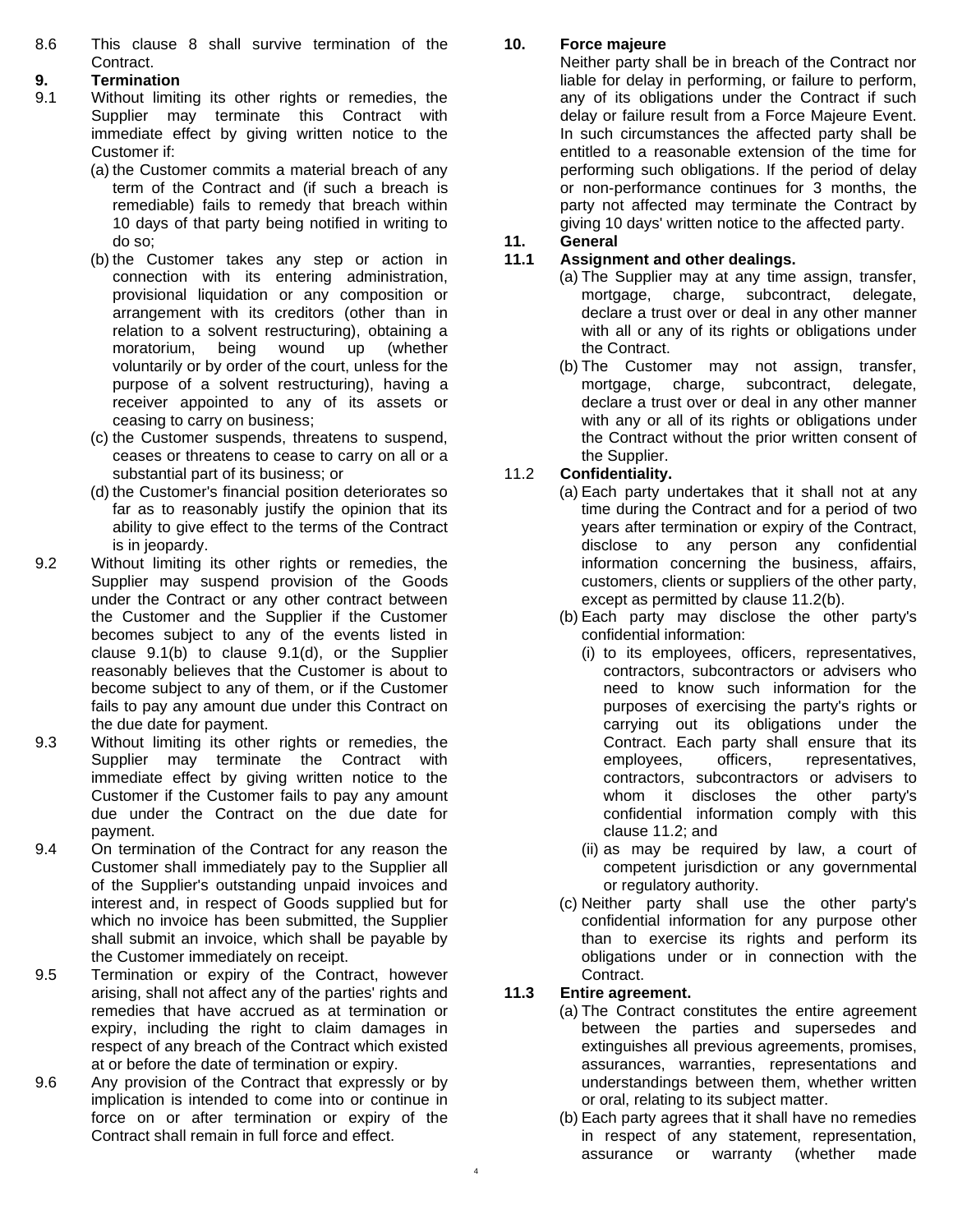8.6 This [clause 8](#page-3-0) shall survive termination of the Contract.

#### <span id="page-4-2"></span>**9. Termination**

- <span id="page-4-0"></span>9.1 Without limiting its other rights or remedies, the Supplier may terminate this Contract with immediate effect by giving written notice to the Customer if:
	- (a) the Customer commits a material breach of any term of the Contract and (if such a breach is remediable) fails to remedy that breach within 10 days of that party being notified in writing to do so;
	- (b) the Customer takes any step or action in connection with its entering administration, provisional liquidation or any composition or arrangement with its creditors (other than in relation to a solvent restructuring), obtaining a moratorium, being wound up (whether voluntarily or by order of the court, unless for the purpose of a solvent restructuring), having a receiver appointed to any of its assets or ceasing to carry on business;
	- (c) the Customer suspends, threatens to suspend, ceases or threatens to cease to carry on all or a substantial part of its business; or
	- (d) the Customer's financial position deteriorates so far as to reasonably justify the opinion that its ability to give effect to the terms of the Contract is in jeopardy.
- <span id="page-4-1"></span>9.2 Without limiting its other rights or remedies, the Supplier may suspend provision of the Goods under the Contract or any other contract between the Customer and the Supplier if the Customer becomes subject to any of the events listed in [clause](#page-4-0) [9.1\(b\)](#page-4-0) to [clause 9.1\(d\),](#page-4-1) or the Supplier reasonably believes that the Customer is about to become subject to any of them, or if the Customer fails to pay any amount due under this Contract on the due date for payment.
- 9.3 Without limiting its other rights or remedies, the Supplier may terminate the Contract with immediate effect by giving written notice to the Customer if the Customer fails to pay any amount due under the Contract on the due date for payment.
- 9.4 On termination of the Contract for any reason the Customer shall immediately pay to the Supplier all of the Supplier's outstanding unpaid invoices and interest and, in respect of Goods supplied but for which no invoice has been submitted, the Supplier shall submit an invoice, which shall be payable by the Customer immediately on receipt.
- 9.5 Termination or expiry of the Contract, however arising, shall not affect any of the parties' rights and remedies that have accrued as at termination or expiry, including the right to claim damages in respect of any breach of the Contract which existed at or before the date of termination or expiry.
- 9.6 Any provision of the Contract that expressly or by implication is intended to come into or continue in force on or after termination or expiry of the Contract shall remain in full force and effect.

## **10. Force majeure**

Neither party shall be in breach of the Contract nor liable for delay in performing, or failure to perform, any of its obligations under the Contract if such delay or failure result from a Force Majeure Event. In such circumstances the affected party shall be entitled to a reasonable extension of the time for performing such obligations. If the period of delay or non-performance continues for 3 months, the party not affected may terminate the Contract by giving 10 days' written notice to the affected party.

#### **11. General**

#### **11.1 Assignment and other dealings.**

- (a) The Supplier may at any time assign, transfer, mortgage, charge, subcontract, delegate, declare a trust over or deal in any other manner with all or any of its rights or obligations under the Contract.
- (b) The Customer may not assign, transfer, mortgage, charge, subcontract, delegate, declare a trust over or deal in any other manner with any or all of its rights or obligations under the Contract without the prior written consent of the Supplier.

## 11.2 **Confidentiality.**

- <span id="page-4-4"></span>(a) Each party undertakes that it shall not at any time during the Contract and for a period of two years after termination or expiry of the Contract, disclose to any person any confidential information concerning the business, affairs, customers, clients or suppliers of the other party, except as permitted by [clause 11.2\(b\).](#page-4-3)
- <span id="page-4-3"></span>(b) Each party may disclose the other party's confidential information:
	- (i) to its employees, officers, representatives, contractors, subcontractors or advisers who need to know such information for the purposes of exercising the party's rights or carrying out its obligations under the Contract. Each party shall ensure that its employees, officers, representatives, contractors, subcontractors or advisers to whom it discloses the other party's confidential information comply with this [clause 11.2;](#page-4-4) and
	- (ii) as may be required by law, a court of competent jurisdiction or any governmental or regulatory authority.
- (c) Neither party shall use the other party's confidential information for any purpose other than to exercise its rights and perform its obligations under or in connection with the Contract.

## **11.3 Entire agreement.**

- (a) The Contract constitutes the entire agreement between the parties and supersedes and extinguishes all previous agreements, promises, assurances, warranties, representations and understandings between them, whether written or oral, relating to its subject matter.
	- (b) Each party agrees that it shall have no remedies in respect of any statement, representation, assurance or warranty (whether made